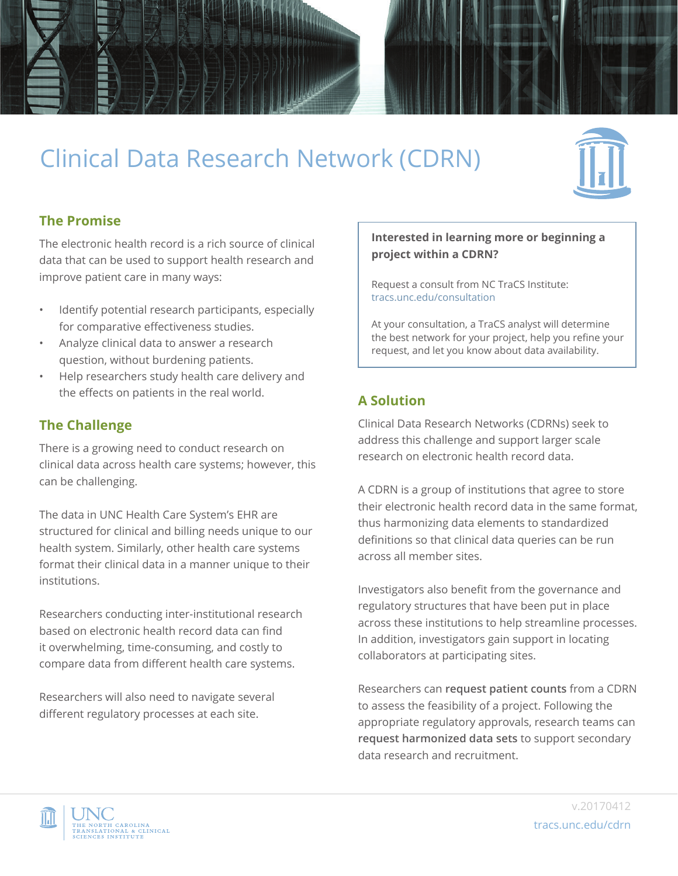

# Clinical Data Research Network (CDRN)



# **The Promise**

The electronic health record is a rich source of clinical data that can be used to support health research and improve patient care in many ways:

- Identify potential research participants, especially for comparative effectiveness studies.
- Analyze clinical data to answer a research question, without burdening patients.
- Help researchers study health care delivery and the effects on patients in the real world.

## **The Challenge**

There is a growing need to conduct research on clinical data across health care systems; however, this can be challenging.

The data in UNC Health Care System's EHR are structured for clinical and billing needs unique to our health system. Similarly, other health care systems format their clinical data in a manner unique to their institutions.

Researchers conducting inter-institutional research based on electronic health record data can find it overwhelming, time-consuming, and costly to compare data from different health care systems.

Researchers will also need to navigate several different regulatory processes at each site.

#### **Interested in learning more or beginning a project within a CDRN?**

Request a consult from NC TraCS Institute: [tracs.unc.edu/consultation](https://tracs.unc.edu/consultation)

At your consultation, a TraCS analyst will determine the best network for your project, help you refine your request, and let you know about data availability.

## **A Solution**

Clinical Data Research Networks (CDRNs) seek to address this challenge and support larger scale research on electronic health record data.

A CDRN is a group of institutions that agree to store their electronic health record data in the same format, thus harmonizing data elements to standardized definitions so that clinical data queries can be run across all member sites.

Investigators also benefit from the governance and regulatory structures that have been put in place across these institutions to help streamline processes. In addition, investigators gain support in locating collaborators at participating sites.

Researchers can **request patient counts** from a CDRN to assess the feasibility of a project. Following the appropriate regulatory approvals, research teams can **request harmonized data sets** to support secondary data research and recruitment.